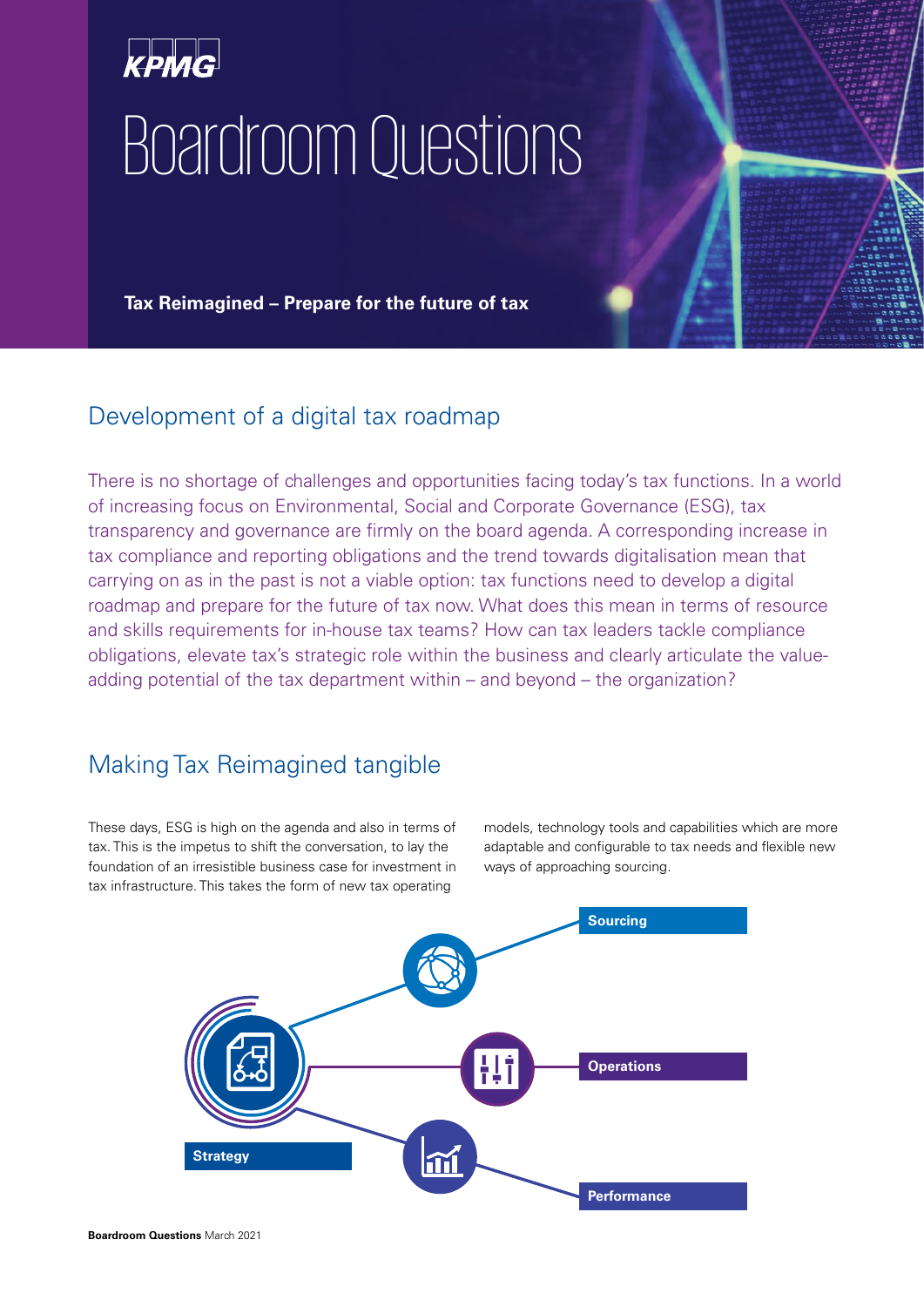# Boardroom Questions

**Tax Reimagined – Prepare for the future of tax**

# Development of a digital tax roadmap

There is no shortage of challenges and opportunities facing today's tax functions. In a world of increasing focus on Environmental, Social and Corporate Governance (ESG), tax transparency and governance are firmly on the board agenda. A corresponding increase in tax compliance and reporting obligations and the trend towards digitalisation mean that carrying on as in the past is not a viable option: tax functions need to develop a digital roadmap and prepare for the future of tax now. What does this mean in terms of resource and skills requirements for in-house tax teams? How can tax leaders tackle compliance obligations, elevate tax's strategic role within the business and clearly articulate the valueadding potential of the tax department within – and beyond – the organization?

# Making Tax Reimagined tangible

These days, ESG is high on the agenda and also in terms of tax. This is the impetus to shift the conversation, to lay the foundation of an irresistible business case for investment in tax infrastructure. This takes the form of new tax operating

models, technology tools and capabilities which are more adaptable and configurable to tax needs and flexible new ways of approaching sourcing.

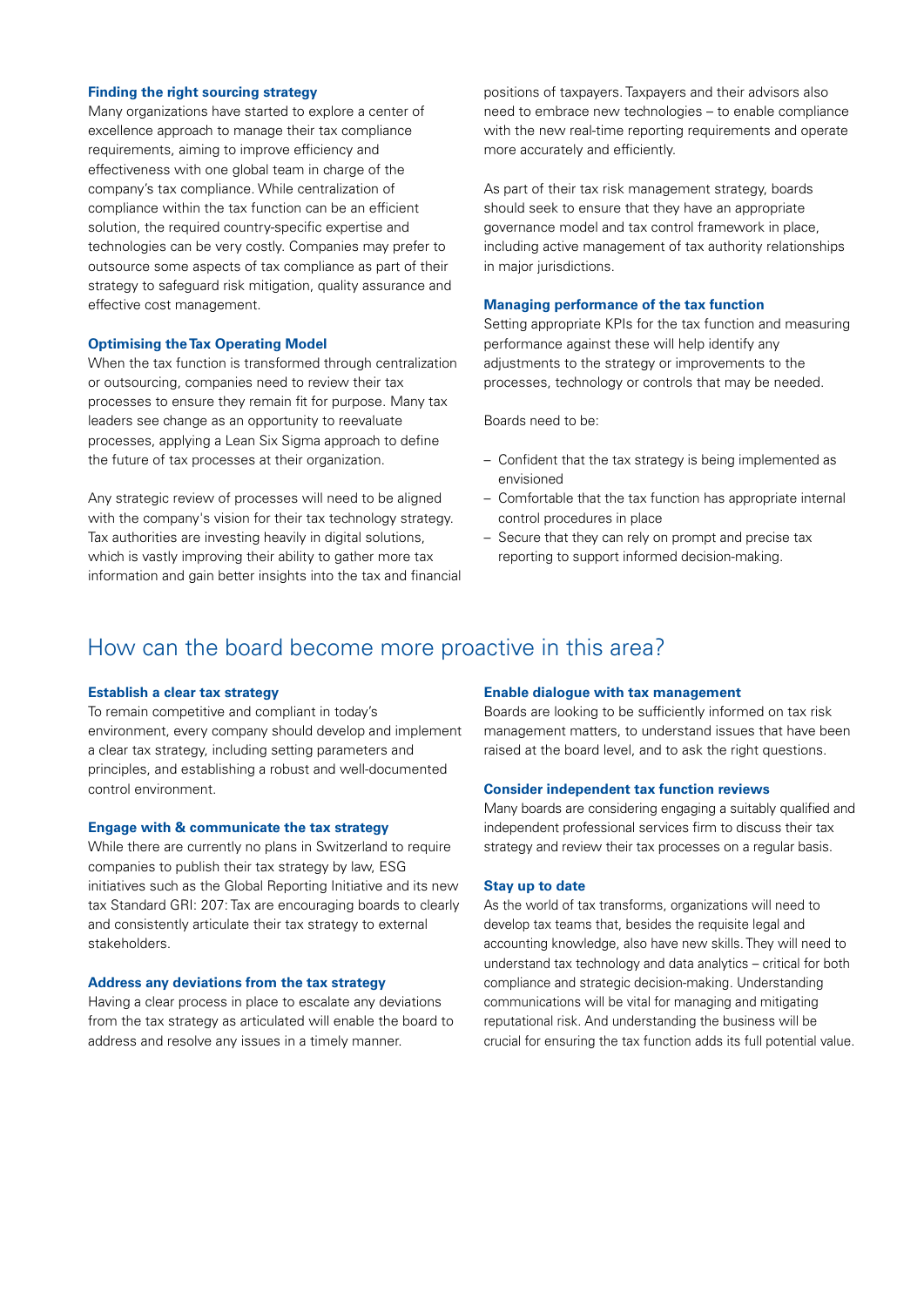### **Finding the right sourcing strategy**

Many organizations have started to explore a center of excellence approach to manage their tax compliance requirements, aiming to improve efficiency and effectiveness with one global team in charge of the company's tax compliance. While centralization of compliance within the tax function can be an efficient solution, the required country-specific expertise and technologies can be very costly. Companies may prefer to outsource some aspects of tax compliance as part of their strategy to safeguard risk mitigation, quality assurance and effective cost management.

### **Optimising the Tax Operating Model**

When the tax function is transformed through centralization or outsourcing, companies need to review their tax processes to ensure they remain fit for purpose. Many tax leaders see change as an opportunity to reevaluate processes, applying a Lean Six Sigma approach to define the future of tax processes at their organization.

Any strategic review of processes will need to be aligned with the company's vision for their tax technology strategy. Tax authorities are investing heavily in digital solutions, which is vastly improving their ability to gather more tax information and gain better insights into the tax and financial positions of taxpayers. Taxpayers and their advisors also need to embrace new technologies – to enable compliance with the new real-time reporting requirements and operate more accurately and efficiently.

As part of their tax risk management strategy, boards should seek to ensure that they have an appropriate governance model and tax control framework in place, including active management of tax authority relationships in major jurisdictions.

### **Managing performance of the tax function**

Setting appropriate KPIs for the tax function and measuring performance against these will help identify any adjustments to the strategy or improvements to the processes, technology or controls that may be needed.

Boards need to be:

- Confident that the tax strategy is being implemented as envisioned
- Comfortable that the tax function has appropriate internal control procedures in place
- Secure that they can rely on prompt and precise tax reporting to support informed decision-making.

## How can the board become more proactive in this area?

### **Establish a clear tax strategy**

To remain competitive and compliant in today's environment, every company should develop and implement a clear tax strategy, including setting parameters and principles, and establishing a robust and well-documented control environment.

### **Engage with & communicate the tax strategy**

While there are currently no plans in Switzerland to require companies to publish their tax strategy by law, ESG initiatives such as the Global Reporting Initiative and its new tax Standard GRI: 207: Tax are encouraging boards to clearly and consistently articulate their tax strategy to external stakeholders.

### **Address any deviations from the tax strategy**

Having a clear process in place to escalate any deviations from the tax strategy as articulated will enable the board to address and resolve any issues in a timely manner.

### **Enable dialogue with tax management**

Boards are looking to be sufficiently informed on tax risk management matters, to understand issues that have been raised at the board level, and to ask the right questions.

### **Consider independent tax function reviews**

Many boards are considering engaging a suitably qualified and independent professional services firm to discuss their tax strategy and review their tax processes on a regular basis.

### **Stay up to date**

As the world of tax transforms, organizations will need to develop tax teams that, besides the requisite legal and accounting knowledge, also have new skills. They will need to understand tax technology and data analytics – critical for both compliance and strategic decision-making. Understanding communications will be vital for managing and mitigating reputational risk. And understanding the business will be crucial for ensuring the tax function adds its full potential value.